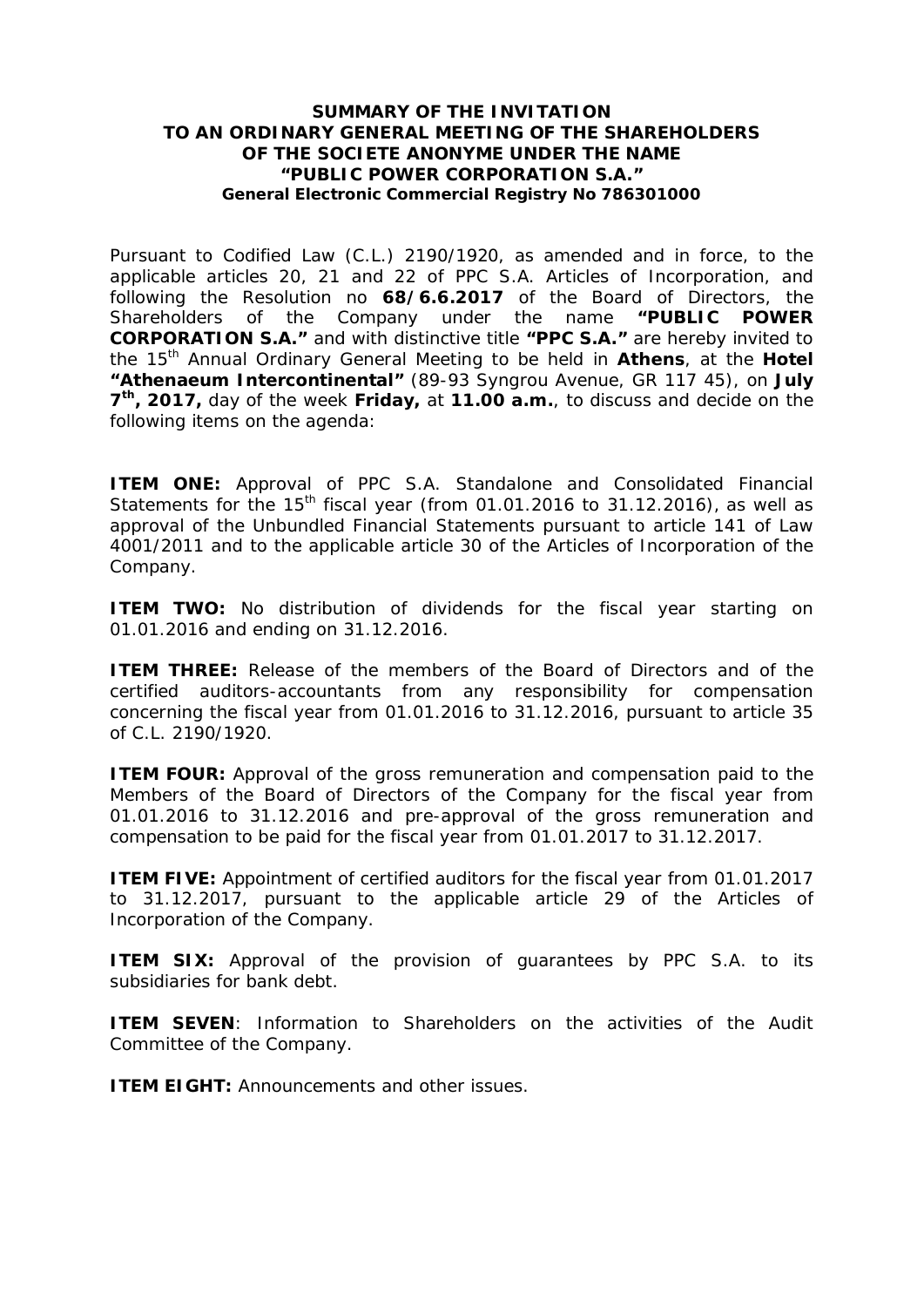## **SUMMARY OF THE INVITATION TO AN ORDINARY GENERAL MEETING OF THE SHAREHOLDERS OF THE SOCIETE ANONYME UNDER THE NAME "PUBLIC POWER CORPORATION S.A." General Electronic Commercial Registry No 786301000**

Pursuant to Codified Law (C.L.) 2190/1920, as amended and in force, to the applicable articles 20, 21 and 22 of PPC S.A. Articles of Incorporation, and following the Resolution no **68/6.6.2017** of the Board of Directors, the Shareholders of the Company under the name **"PUBLIC POWER CORPORATION S.A."** and with distinctive title **"PPC S.A."** are hereby invited to the 15th Annual Ordinary General Meeting to be held in **Athens**, at the **Hotel "Athenaeum Intercontinental"** (89-93 Syngrou Avenue, GR 117 45), on **July 7 th, 2017,** day of the week **Friday,** at **11.00 a.m.**, to discuss and decide on the following items on the agenda:

**ITEM ONE:** Approval of PPC S.A. Standalone and Consolidated Financial Statements for the 15<sup>th</sup> fiscal year (from 01.01.2016 to 31.12.2016), as well as approval of the Unbundled Financial Statements pursuant to article 141 of Law 4001/2011 and to the applicable article 30 of the Articles of Incorporation of the Company.

**ITEM TWO:** No distribution of dividends for the fiscal year starting on 01.01.2016 and ending on 31.12.2016.

**ITEM THREE:** Release of the members of the Board of Directors and of the certified auditors-accountants from any responsibility for compensation concerning the fiscal year from 01.01.2016 to 31.12.2016, pursuant to article 35 of C.L. 2190/1920.

**ITEM FOUR:** Approval of the gross remuneration and compensation paid to the Members of the Board of Directors of the Company for the fiscal year from 01.01.2016 to 31.12.2016 and pre-approval of the gross remuneration and compensation to be paid for the fiscal year from 01.01.2017 to 31.12.2017.

**ITEM FIVE:** Appointment of certified auditors for the fiscal year from 01.01.2017 to 31.12.2017, pursuant to the applicable article 29 of the Articles of Incorporation of the Company.

**ITEM SIX:** Approval of the provision of guarantees by PPC S.A. to its subsidiaries for bank debt.

**ITEM SEVEN**: Information to Shareholders on the activities of the Audit Committee of the Company.

**ITEM EIGHT:** Announcements and other issues.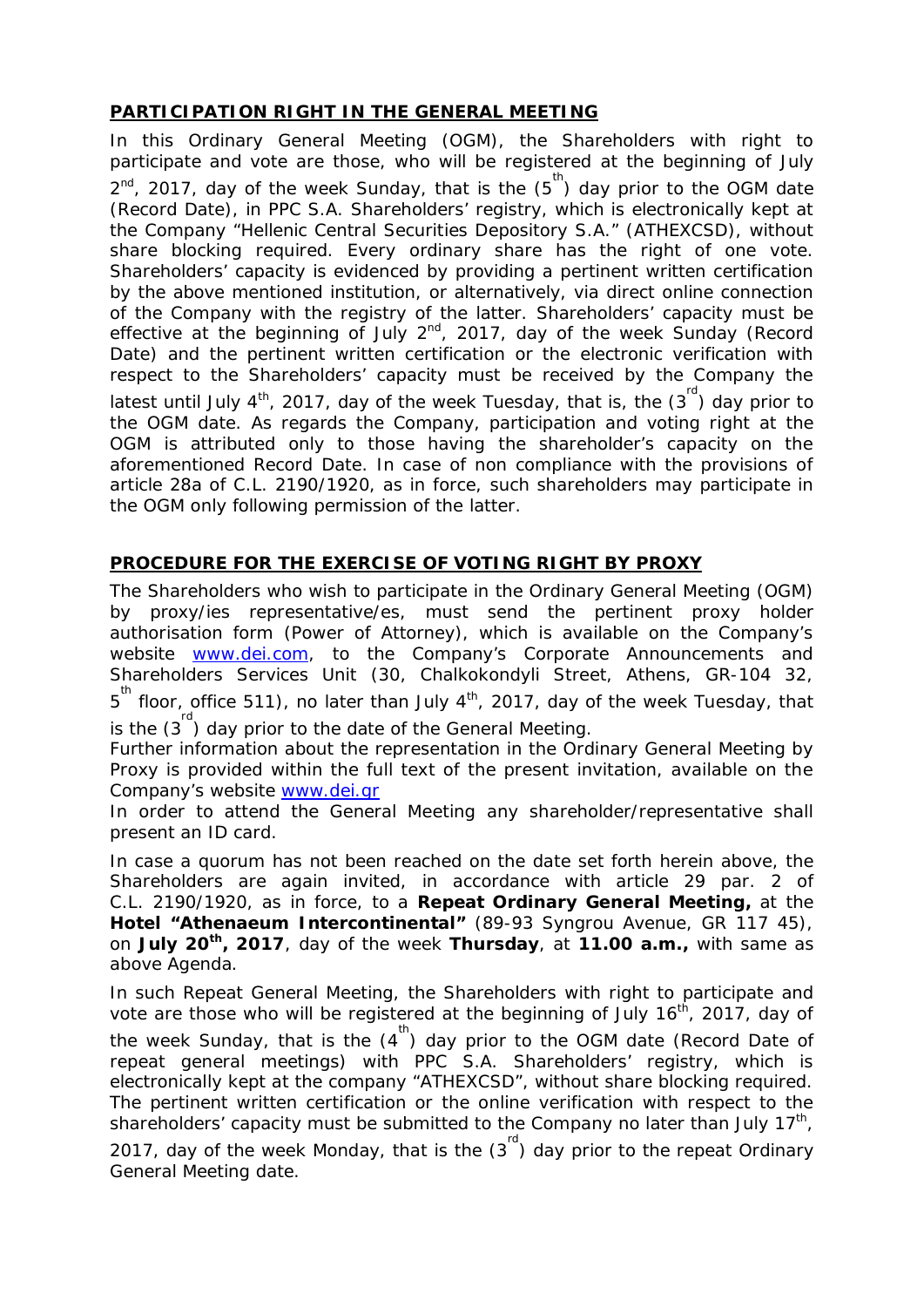## **PARTICIPATION RIGHT IN THE GENERAL MEETING**

In this Ordinary General Meeting (OGM), the Shareholders with right to participate and vote are those, who will be registered at the beginning of July  $2^{nd}$ , 2017, day of the week Sunday, that is the  $(5^{th})$  day prior to the OGM date (Record Date), in PPC S.A. Shareholders' registry, which is electronically kept at the Company "Hellenic Central Securities Depository S.A." (ATHEXCSD), without share blocking required. Every ordinary share has the right of one vote. Shareholders' capacity is evidenced by providing a pertinent written certification by the above mentioned institution, or alternatively, via direct online connection of the Company with the registry of the latter. Shareholders' capacity must be effective at the beginning of July  $2^{nd}$ , 2017, day of the week Sunday (Record Date) and the pertinent written certification or the electronic verification with respect to the Shareholders' capacity must be received by the Company the latest until July 4<sup>th</sup>, 2017, day of the week Tuesday, that is, the  $(3^{\text{rd}})$  day prior to the OGM date. As regards the Company, participation and voting right at the OGM is attributed only to those having the shareholder's capacity on the aforementioned Record Date. In case of non compliance with the provisions of article 28a of C.L. 2190/1920, as in force, such shareholders may participate in the OGM only following permission of the latter.

## **PROCEDURE FOR THE EXERCISE OF VOTING RIGHT BY PROXY**

The Shareholders who wish to participate in the Ordinary General Meeting (OGM) by proxy/ies representative/es, must send the pertinent proxy holder authorisation form (Power of Attorney), which is available on the Company's website [www.dei.com,](http://www.dei.com/) to the Company's Corporate Announcements and Shareholders Services Unit (30, Chalkokondyli Street, Athens, GR-104 32, 5<sup>th</sup> floor, office 511), no later than July 4<sup>th</sup>, 2017, day of the week Tuesday, that is the  $(3^{rd})$  day prior to the date of the General Meeting.

Further information about the representation in the Ordinary General Meeting by Proxy is provided within the full text of the present invitation, available on the Company's website [www.dei.gr](http://www.dei.gr/)

In order to attend the General Meeting any shareholder/representative shall present an ID card.

In case a quorum has not been reached on the date set forth herein above, the Shareholders are again invited, in accordance with article 29 par. 2 of C.L. 2190/1920, as in force, to a **Repeat Ordinary General Meeting,** at the **Hotel "Athenaeum Intercontinental"** (89-93 Syngrou Avenue, GR 117 45), on **July 20th, 2017**, day of the week **Thursday**, at **11.00 a.m.,** with same as above Agenda.

In such Repeat General Meeting, the Shareholders with right to participate and vote are those who will be registered at the beginning of July 16<sup>th</sup>, 2017, day of the week Sunday, that is the  $(4^{th})$  day prior to the OGM date (Record Date of repeat general meetings) with PPC S.A. Shareholders' registry, which is electronically kept at the company "ATHEXCSD", without share blocking required. The pertinent written certification or the online verification with respect to the shareholders' capacity must be submitted to the Company no later than July 17<sup>th</sup>, 2017, day of the week Monday, that is the  $(3^{rd})$  day prior to the repeat Ordinary General Meeting date.